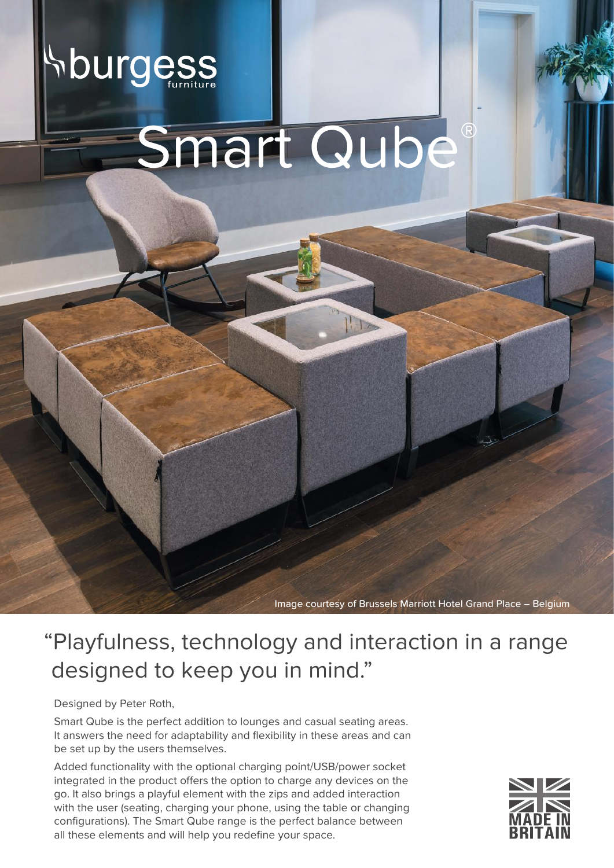

Image courtesy of Brussels Marriott Hotel Grand Place – Belgium

## "Playfulness, technology and interaction in a range designed to keep you in mind."

Designed by Peter Roth,

Smart Qube is the perfect addition to lounges and casual seating areas. It answers the need for adaptability and flexibility in these areas and can be set up by the users themselves.

Added functionality with the optional charging point/USB/power socket integrated in the product offers the option to charge any devices on the go. It also brings a playful element with the zips and added interaction with the user (seating, charging your phone, using the table or changing configurations). The Smart Qube range is the perfect balance between all these elements and will help you redefine your space.